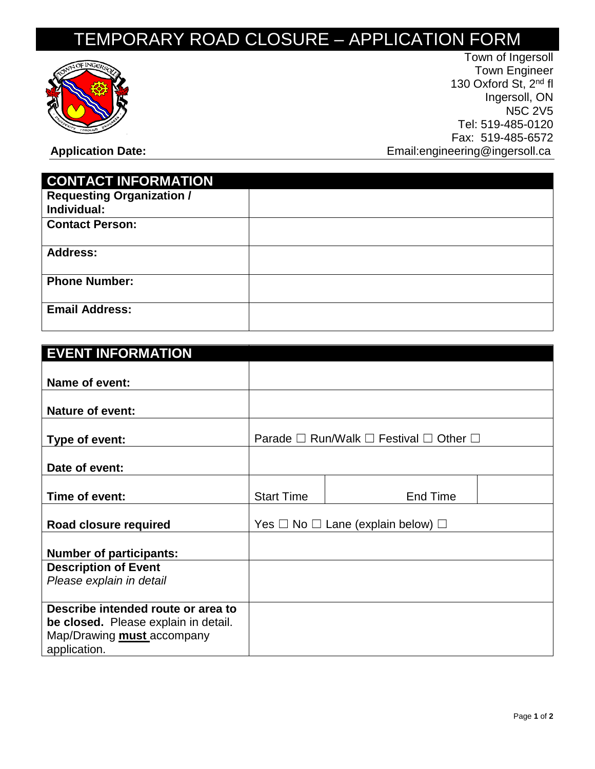## TEMPORARY ROAD CLOSURE – APPLICATION FORM



Town of Ingersoll Town Engineer 130 Oxford St, 2<sup>nd</sup> fl Ingersoll, ON N5C 2V5 Tel: 519-485-0120 Fax: 519-485-6572 Application Date: **Application Date: Application Date: Email:engineering@ingersoll.ca** 

| <b>CONTACT INFORMATION</b>       |  |
|----------------------------------|--|
| <b>Requesting Organization /</b> |  |
| Individual:                      |  |
| <b>Contact Person:</b>           |  |
| <b>Address:</b>                  |  |
| <b>Phone Number:</b>             |  |
| <b>Email Address:</b>            |  |

| <b>EVENT INFORMATION</b>                                |                                                                        |          |  |  |
|---------------------------------------------------------|------------------------------------------------------------------------|----------|--|--|
|                                                         |                                                                        |          |  |  |
| Name of event:                                          |                                                                        |          |  |  |
|                                                         |                                                                        |          |  |  |
| <b>Nature of event:</b>                                 |                                                                        |          |  |  |
|                                                         |                                                                        |          |  |  |
| Type of event:                                          | Parade $\square$ Run/Walk $\square$ Festival $\square$ Other $\square$ |          |  |  |
|                                                         |                                                                        |          |  |  |
| Date of event:                                          |                                                                        |          |  |  |
|                                                         |                                                                        |          |  |  |
| Time of event:                                          | <b>Start Time</b>                                                      | End Time |  |  |
|                                                         |                                                                        |          |  |  |
| Road closure required                                   | Yes $\Box$ No $\Box$ Lane (explain below) $\Box$                       |          |  |  |
|                                                         |                                                                        |          |  |  |
| <b>Number of participants:</b>                          |                                                                        |          |  |  |
| <b>Description of Event</b><br>Please explain in detail |                                                                        |          |  |  |
|                                                         |                                                                        |          |  |  |
| Describe intended route or area to                      |                                                                        |          |  |  |
| be closed. Please explain in detail.                    |                                                                        |          |  |  |
|                                                         |                                                                        |          |  |  |
| Map/Drawing <b>must</b> accompany<br>application.       |                                                                        |          |  |  |
|                                                         |                                                                        |          |  |  |